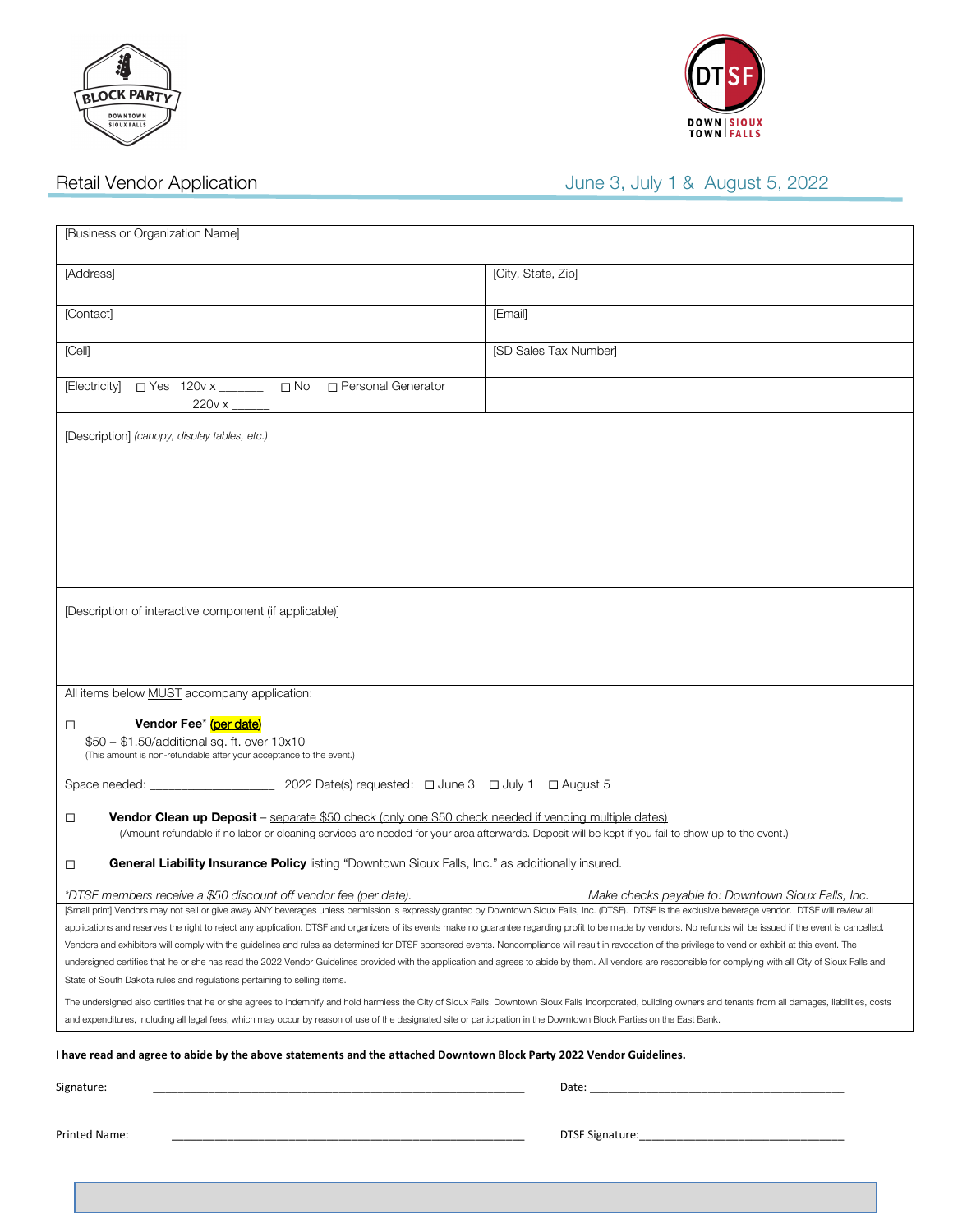



# Retail Vendor Application **August 5, 2022** June 3, July 1 & August 5, 2022

| [Business or Organization Name]                                                                                                                                                                                                                                                                                                                                                                                                                                                                                                                                                                                                                                                                                                                                                                                                                                                                                                               |                                                                                                                                                                                                                                |
|-----------------------------------------------------------------------------------------------------------------------------------------------------------------------------------------------------------------------------------------------------------------------------------------------------------------------------------------------------------------------------------------------------------------------------------------------------------------------------------------------------------------------------------------------------------------------------------------------------------------------------------------------------------------------------------------------------------------------------------------------------------------------------------------------------------------------------------------------------------------------------------------------------------------------------------------------|--------------------------------------------------------------------------------------------------------------------------------------------------------------------------------------------------------------------------------|
| [Address]                                                                                                                                                                                                                                                                                                                                                                                                                                                                                                                                                                                                                                                                                                                                                                                                                                                                                                                                     | [City, State, Zip]                                                                                                                                                                                                             |
| [Contact]                                                                                                                                                                                                                                                                                                                                                                                                                                                                                                                                                                                                                                                                                                                                                                                                                                                                                                                                     | [Email]                                                                                                                                                                                                                        |
| [Cell]                                                                                                                                                                                                                                                                                                                                                                                                                                                                                                                                                                                                                                                                                                                                                                                                                                                                                                                                        | [SD Sales Tax Number]                                                                                                                                                                                                          |
| [Electricity] □ Yes 120v x ______ □ No □ Personal Generator<br>$220v \times$ _                                                                                                                                                                                                                                                                                                                                                                                                                                                                                                                                                                                                                                                                                                                                                                                                                                                                |                                                                                                                                                                                                                                |
| [Description] (canopy, display tables, etc.)                                                                                                                                                                                                                                                                                                                                                                                                                                                                                                                                                                                                                                                                                                                                                                                                                                                                                                  |                                                                                                                                                                                                                                |
| [Description of interactive component (if applicable)]                                                                                                                                                                                                                                                                                                                                                                                                                                                                                                                                                                                                                                                                                                                                                                                                                                                                                        |                                                                                                                                                                                                                                |
| All items below <b>MUST</b> accompany application:<br>Vendor Fee* (per date)<br>$\Box$<br>$$50 + $1.50$ /additional sq. ft. over $10x10$<br>(This amount is non-refundable after your acceptance to the event.)                                                                                                                                                                                                                                                                                                                                                                                                                                                                                                                                                                                                                                                                                                                               |                                                                                                                                                                                                                                |
|                                                                                                                                                                                                                                                                                                                                                                                                                                                                                                                                                                                                                                                                                                                                                                                                                                                                                                                                               |                                                                                                                                                                                                                                |
| Vendor Clean up Deposit - separate \$50 check (only one \$50 check needed if vending multiple dates)<br>$\Box$<br>(Amount refundable if no labor or cleaning services are needed for your area afterwards. Deposit will be kept if you fail to show up to the event.)                                                                                                                                                                                                                                                                                                                                                                                                                                                                                                                                                                                                                                                                         |                                                                                                                                                                                                                                |
| General Liability Insurance Policy listing "Downtown Sioux Falls, Inc." as additionally insured.<br>$\Box$                                                                                                                                                                                                                                                                                                                                                                                                                                                                                                                                                                                                                                                                                                                                                                                                                                    |                                                                                                                                                                                                                                |
| *DTSF members receive a \$50 discount off vendor fee (per date).<br>[Small print] Vendors may not sell or give away ANY beverages unless permission is expressly granted by Downtown Sioux Falls, Inc. (DTSF). DTSF is the exclusive beverage vendor. DTSF will review all                                                                                                                                                                                                                                                                                                                                                                                                                                                                                                                                                                                                                                                                    | Make checks payable to: Downtown Sioux Falls, Inc.                                                                                                                                                                             |
| applications and reserves the right to reject any application. DTSF and organizers of its events make no guarantee regarding profit to be made by vendors. No refunds will be issued if the event is cancelled.<br>Vendors and exhibitors will comply with the guidelines and rules as determined for DTSF sponsored events. Noncompliance will result in revocation of the privilege to vend or exhibit at this event. The<br>undersigned certifies that he or she has read the 2022 Vendor Guidelines provided with the application and agrees to abide by them. All vendors are responsible for complying with all City of Sioux Falls and<br>State of South Dakota rules and regulations pertaining to selling items.<br>The undersigned also certifies that he or she agrees to indemnify and hold harmless the City of Sioux Falls, Downtown Sioux Falls Incorporated, building owners and tenants from all damages, liabilities, costs |                                                                                                                                                                                                                                |
| and expenditures, including all legal fees, which may occur by reason of use of the designated site or participation in the Downtown Block Parties on the East Bank.                                                                                                                                                                                                                                                                                                                                                                                                                                                                                                                                                                                                                                                                                                                                                                          |                                                                                                                                                                                                                                |
| I have read and agree to abide by the above statements and the attached Downtown Block Party 2022 Vendor Guidelines.                                                                                                                                                                                                                                                                                                                                                                                                                                                                                                                                                                                                                                                                                                                                                                                                                          |                                                                                                                                                                                                                                |
| Signature:                                                                                                                                                                                                                                                                                                                                                                                                                                                                                                                                                                                                                                                                                                                                                                                                                                                                                                                                    |                                                                                                                                                                                                                                |
| Printed Name:                                                                                                                                                                                                                                                                                                                                                                                                                                                                                                                                                                                                                                                                                                                                                                                                                                                                                                                                 | DTSF Signature: University of the Second State of the Second State of the Second State of the Second State of the Second State of the Second State of the Second State of the Second State of the Second State of the Second S |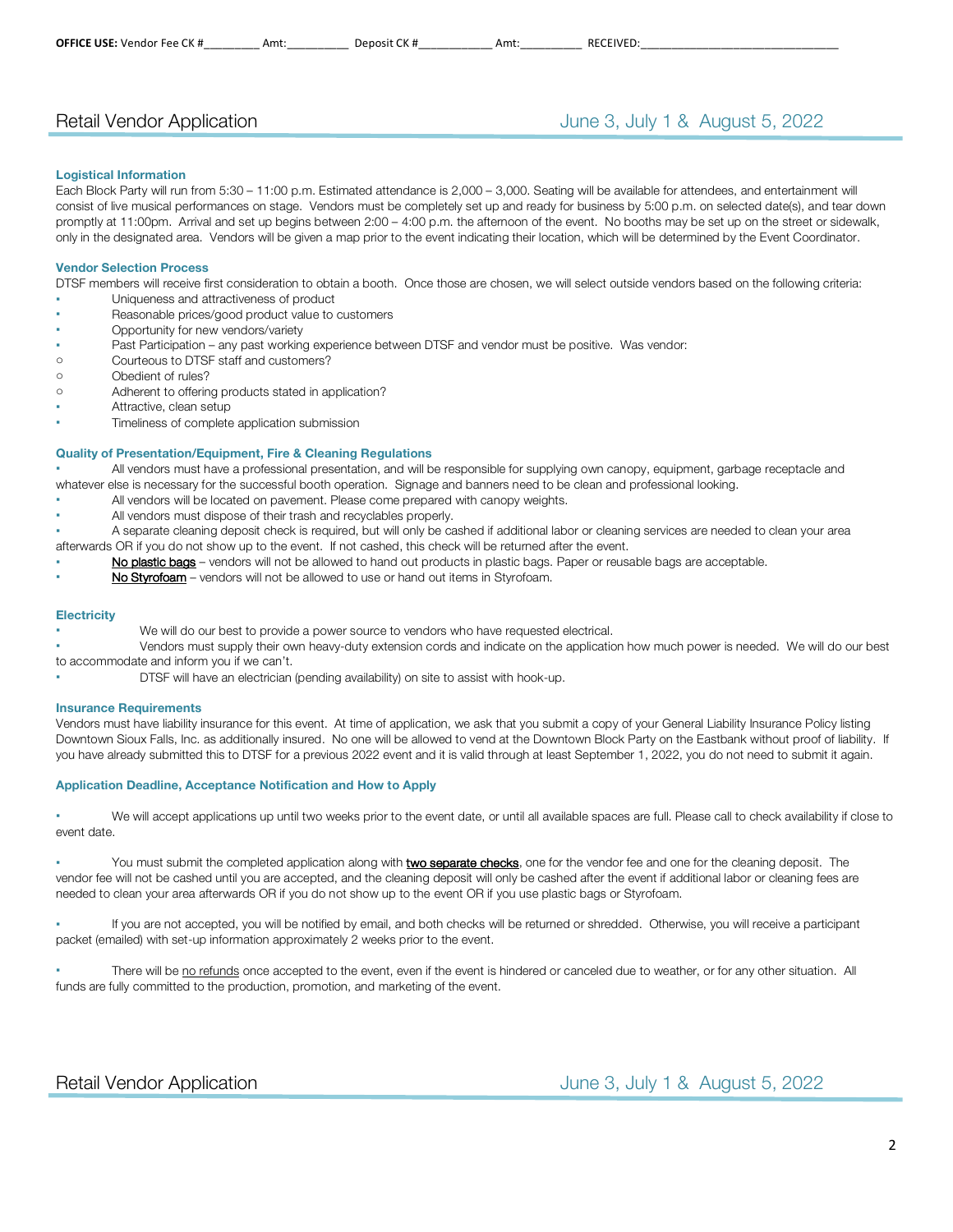## Retail Vendor Application **Contract Contract Contract Contract Contract Contract Contract Contract Contract Contract Contract Contract Contract Contract Contract Contract Contract Contract Contract Contract Contract Contra**

#### **Logistical Information**

Each Block Party will run from 5:30 – 11:00 p.m. Estimated attendance is 2,000 – 3,000. Seating will be available for attendees, and entertainment will consist of live musical performances on stage. Vendors must be completely set up and ready for business by 5:00 p.m. on selected date(s), and tear down promptly at 11:00pm. Arrival and set up begins between 2:00 – 4:00 p.m. the afternoon of the event. No booths may be set up on the street or sidewalk, only in the designated area. Vendors will be given a map prior to the event indicating their location, which will be determined by the Event Coordinator.

### **Vendor Selection Process**

DTSF members will receive first consideration to obtain a booth. Once those are chosen, we will select outside vendors based on the following criteria:

- Uniqueness and attractiveness of product
- Reasonable prices/good product value to customers
- Opportunity for new vendors/variety
- Past Participation any past working experience between DTSF and vendor must be positive. Was vendor:
- o Courteous to DTSF staff and customers?
- o Obedient of rules?
- o Adherent to offering products stated in application?
- Attractive, clean setup
- Timeliness of complete application submission

### **Quality of Presentation/Equipment, Fire & Cleaning Regulations**

All vendors must have a professional presentation, and will be responsible for supplying own canopy, equipment, garbage receptacle and whatever else is necessary for the successful booth operation. Signage and banners need to be clean and professional looking.

- All vendors will be located on pavement. Please come prepared with canopy weights.
- All vendors must dispose of their trash and recyclables properly.
- A separate cleaning deposit check is required, but will only be cashed if additional labor or cleaning services are needed to clean your area
- afterwards OR if you do not show up to the event. If not cashed, this check will be returned after the event.
- No plastic bags vendors will not be allowed to hand out products in plastic bags. Paper or reusable bags are acceptable.
- No Styrofoam vendors will not be allowed to use or hand out items in Styrofoam.

#### **Electricity**

- We will do our best to provide a power source to vendors who have requested electrical.
- Vendors must supply their own heavy-duty extension cords and indicate on the application how much power is needed. We will do our best to accommodate and inform you if we can't.
- DTSF will have an electrician (pending availability) on site to assist with hook-up.

#### **Insurance Requirements**

Vendors must have liability insurance for this event. At time of application, we ask that you submit a copy of your General Liability Insurance Policy listing Downtown Sioux Falls, Inc. as additionally insured. No one will be allowed to vend at the Downtown Block Party on the Eastbank without proof of liability. If you have already submitted this to DTSF for a previous 2022 event and it is valid through at least September 1, 2022, you do not need to submit it again.

### **Application Deadline, Acceptance Notification and How to Apply**

We will accept applications up until two weeks prior to the event date, or until all available spaces are full. Please call to check availability if close to event date.

You must submit the completed application along with **two separate checks**, one for the vendor fee and one for the cleaning deposit. The vendor fee will not be cashed until you are accepted, and the cleaning deposit will only be cashed after the event if additional labor or cleaning fees are needed to clean your area afterwards OR if you do not show up to the event OR if you use plastic bags or Styrofoam.

If you are not accepted, you will be notified by email, and both checks will be returned or shredded. Otherwise, you will receive a participant packet (emailed) with set-up information approximately 2 weeks prior to the event.

There will be no refunds once accepted to the event, even if the event is hindered or canceled due to weather, or for any other situation. All funds are fully committed to the production, promotion, and marketing of the event.

Retail Vendor Application **Contract Contract Contract Contract Contract Contract Contract Contract Contract Contract Contract Contract Contract Contract Contract Contract Contract Contract Contract Contract Contract Contra**